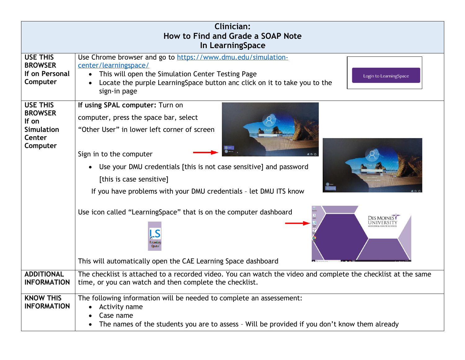| <b>Clinician:</b><br>How to Find and Grade a SOAP Note<br>In LearningSpace            |                                                                                                                                                                                                                                                                                                                                                                                                                                                                                      |  |  |  |  |  |
|---------------------------------------------------------------------------------------|--------------------------------------------------------------------------------------------------------------------------------------------------------------------------------------------------------------------------------------------------------------------------------------------------------------------------------------------------------------------------------------------------------------------------------------------------------------------------------------|--|--|--|--|--|
| <b>USE THIS</b><br><b>BROWSER</b><br>If on Personal<br>Computer                       | Use Chrome browser and go to https://www.dmu.edu/simulation-<br>center/learningspace/<br>• This will open the Simulation Center Testing Page<br>Login to LearningSpace<br>Locate the purple Learning Space button and click on it to take you to the<br>sign-in page                                                                                                                                                                                                                 |  |  |  |  |  |
| <b>USE THIS</b><br><b>BROWSER</b><br>If on<br><b>Simulation</b><br>Center<br>Computer | If using SPAL computer: Turn on<br>computer, press the space bar, select<br>"Other User" in lower left corner of screen<br>Sign in to the computer<br>600<br>Use your DMU credentials [this is not case sensitive] and password<br>[this is case sensitive]<br>If you have problems with your DMU credentials - let DMU ITS know<br>Use icon called "LearningSpace" that is on the computer dashboard<br>DES MOINES<br>This will automatically open the CAE Learning Space dashboard |  |  |  |  |  |
| <b>ADDITIONAL</b><br><b>INFORMATION</b>                                               | The checklist is attached to a recorded video. You can watch the video and complete the checklist at the same<br>time, or you can watch and then complete the checklist.                                                                                                                                                                                                                                                                                                             |  |  |  |  |  |
| <b>KNOW THIS</b><br><b>INFORMATION</b>                                                | The following information will be needed to complete an assessement:<br>Activity name<br>٠<br>Case name<br>The names of the students you are to assess - Will be provided if you don't know them already                                                                                                                                                                                                                                                                             |  |  |  |  |  |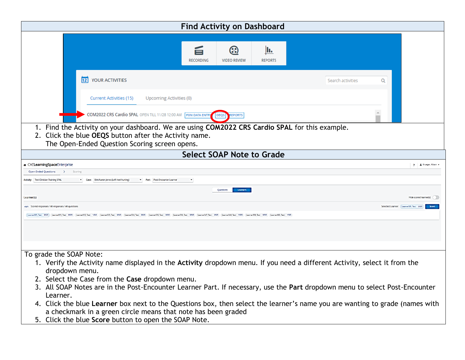| <b>Find Activity on Dashboard</b>                                                                                                                                                                                                                                                                                                                                                                                                                                                                                                                                                                                                                                                                                                                                                                                                                                                                                                                                                                                                                                                                                |                        |
|------------------------------------------------------------------------------------------------------------------------------------------------------------------------------------------------------------------------------------------------------------------------------------------------------------------------------------------------------------------------------------------------------------------------------------------------------------------------------------------------------------------------------------------------------------------------------------------------------------------------------------------------------------------------------------------------------------------------------------------------------------------------------------------------------------------------------------------------------------------------------------------------------------------------------------------------------------------------------------------------------------------------------------------------------------------------------------------------------------------|------------------------|
| ඹ<br>II.<br>旨<br><b>RECORDING</b><br><b>VIDEO REVIEW</b><br><b>REPORTS</b>                                                                                                                                                                                                                                                                                                                                                                                                                                                                                                                                                                                                                                                                                                                                                                                                                                                                                                                                                                                                                                       |                        |
| <b>12</b> YOUR ACTIVITIES<br>Search activities<br>Q<br>Upcoming Activities (0)<br>Current Activities (15)<br><b>COM2022 CRS Cardio SPAL OPEN TILL 11/28 12:00 AM FON DATA ENTRY</b><br><b>EPORTS</b><br>OEQS<br>1. Find the Activity on your dashboard. We are using COM2022 CRS Cardio SPAL for this example.<br>The Open-Ended Question Scoring screen opens.<br><b>Select SOAP Note to Grade</b><br>$\rightarrow$<br>Scoring<br>Case: Erin/Aaron Jones (Left heel hurting)<br>Part: Post-Encounter Learner<br>Learners<br>Questions<br>Selected Learner: (Learner001, Test 0/5/5)<br>(Learner001, Test 0/5/5) Learner011, Test 0/5/5 Learner012, Test 1/5/5 Learner023, Test 0/5/5 Learner024, Test 0/5/5 Learner034, Test 0/5/5 Learner036, Test 0/5/5 Learner02, Test 0/5/5 Learner02, Test 0/5/5 Learner02, Test<br>1. Verify the Activity name displayed in the Activity dropdown menu. If you need a different Activity, select it from the<br>dropdown menu.<br>3. All SOAP Notes are in the Post-Encounter Learner Part. If necessary, use the Part dropdown menu to select Post-Encounter<br>Learner. |                        |
| 2. Click the blue OEQS button after the Activity name.                                                                                                                                                                                                                                                                                                                                                                                                                                                                                                                                                                                                                                                                                                                                                                                                                                                                                                                                                                                                                                                           |                        |
|                                                                                                                                                                                                                                                                                                                                                                                                                                                                                                                                                                                                                                                                                                                                                                                                                                                                                                                                                                                                                                                                                                                  |                        |
| <b>A</b> CAELearningSpaceEnterprise                                                                                                                                                                                                                                                                                                                                                                                                                                                                                                                                                                                                                                                                                                                                                                                                                                                                                                                                                                                                                                                                              | ? L Krueger, Alison    |
| <b>Open-Ended Questions</b>                                                                                                                                                                                                                                                                                                                                                                                                                                                                                                                                                                                                                                                                                                                                                                                                                                                                                                                                                                                                                                                                                      |                        |
| <b>Activity:</b> Test Clinician Training SPAL                                                                                                                                                                                                                                                                                                                                                                                                                                                                                                                                                                                                                                                                                                                                                                                                                                                                                                                                                                                                                                                                    |                        |
|                                                                                                                                                                                                                                                                                                                                                                                                                                                                                                                                                                                                                                                                                                                                                                                                                                                                                                                                                                                                                                                                                                                  |                        |
| Learner(s)                                                                                                                                                                                                                                                                                                                                                                                                                                                                                                                                                                                                                                                                                                                                                                                                                                                                                                                                                                                                                                                                                                       | Hide scored learner(s) |
| x/y/z Scored responses / All responses / All questions                                                                                                                                                                                                                                                                                                                                                                                                                                                                                                                                                                                                                                                                                                                                                                                                                                                                                                                                                                                                                                                           | <b>Score</b>           |
|                                                                                                                                                                                                                                                                                                                                                                                                                                                                                                                                                                                                                                                                                                                                                                                                                                                                                                                                                                                                                                                                                                                  |                        |
|                                                                                                                                                                                                                                                                                                                                                                                                                                                                                                                                                                                                                                                                                                                                                                                                                                                                                                                                                                                                                                                                                                                  |                        |
|                                                                                                                                                                                                                                                                                                                                                                                                                                                                                                                                                                                                                                                                                                                                                                                                                                                                                                                                                                                                                                                                                                                  |                        |
| To grade the SOAP Note:<br>2. Select the Case from the Case dropdown menu.                                                                                                                                                                                                                                                                                                                                                                                                                                                                                                                                                                                                                                                                                                                                                                                                                                                                                                                                                                                                                                       |                        |
| 4. Click the blue Learner box next to the Questions box, then select the learner's name you are wanting to grade (names with<br>a checkmark in a green circle means that note has been graded<br>5. Click the blue Score button to open the SOAP Note.                                                                                                                                                                                                                                                                                                                                                                                                                                                                                                                                                                                                                                                                                                                                                                                                                                                           |                        |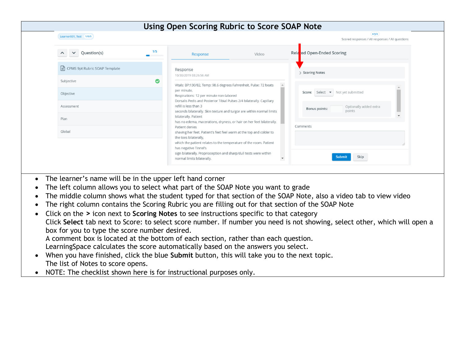| Learner001, Test 1/5/5                            |           |                                                                                                                                                                         |                          | x/y/z<br>Scored responses / All responses / All questions |
|---------------------------------------------------|-----------|-------------------------------------------------------------------------------------------------------------------------------------------------------------------------|--------------------------|-----------------------------------------------------------|
| Question(s)<br>$\checkmark$<br>$\curvearrowright$ | 1/5       | Response                                                                                                                                                                | Video                    | Rela<br>ed Open-Ended Scoring                             |
| $\equiv$ CPMS 9pt Rubric SOAP Template            |           | Response<br>10/30/2019 03:26:56 AM                                                                                                                                      |                          | > Scoring Notes                                           |
| Subjective                                        | $\bullet$ | Vitals: BP:130/82, Temp: 98.6 degrees Fahrenheit, Pulse: 72 beats                                                                                                       |                          |                                                           |
| Objective                                         |           | per minute,<br>Respirations: 12 per minute non-labored                                                                                                                  |                          | Score: Select • Not yet submitted                         |
| Assessment                                        |           | Dorsalis Pedis and Posterior Tibial Pulses 2/4 bilaterally. Capillary<br>refill is less than 3<br>seconds bilaterally. Skin texture and turgor are within normal limits |                          | Optionally added extra<br>Bonus points:<br>points         |
| Plan                                              |           | bilaterally. Patient<br>has no edema, macerations, dryness, or hair on her feet bilaterally.                                                                            |                          |                                                           |
| Global                                            |           | Patient denies<br>shaving her feet. Patient's feet feel warm at the top and colder to<br>the toes bilaterally,                                                          |                          | Comments                                                  |
|                                                   |           | which the patient relates to the temperature of the room. Patient                                                                                                       |                          |                                                           |
|                                                   |           | has negative Tinnel's<br>sign bilaterally. Proprioception and sharp/dull tests were within<br>normal limits bilaterally.                                                | $\overline{\phantom{a}}$ | Skip<br>Submit                                            |

- The learner's name will be in the upper left hand corner
- The left column allows you to select what part of the SOAP Note you want to grade
- The middle column shows what the student typed for that section of the SOAP Note, also a video tab to view video
- The right column contains the Scoring Rubric you are filling out for that section of the SOAP Note
- Click on the **>** icon next to **Scoring Notes** to see instructions specific to that category Click **Select** tab next to Score: to select score number. If number you need is not showing, select other, which will open a box for you to type the score number desired.

A comment box is located at the bottom of each section, rather than each question. LearningSpace calculates the score automatically based on the answers you select.

- When you have finished, click the blue **Submit** button, this will take you to the next topic. The list of Notes to score opens.
- NOTE: The checklist shown here is for instructional purposes only.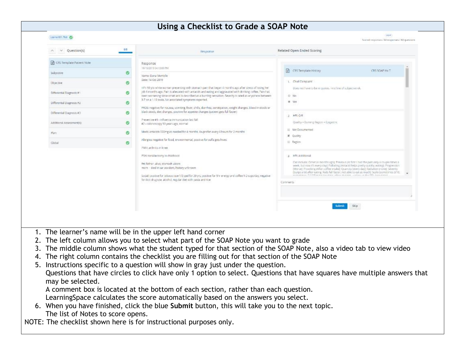## **Using a Checklist to Grade a SOAP Note**

| $\vee$ Question(s)                                     | 6.18         | Response                                                                                                                                                                                                                                                                                                                                                                                                                                                                                                                         | Related Open-Ended Scoring                                                                                                                                                                                                                                                                                                                                                                                      |  |
|--------------------------------------------------------|--------------|----------------------------------------------------------------------------------------------------------------------------------------------------------------------------------------------------------------------------------------------------------------------------------------------------------------------------------------------------------------------------------------------------------------------------------------------------------------------------------------------------------------------------------|-----------------------------------------------------------------------------------------------------------------------------------------------------------------------------------------------------------------------------------------------------------------------------------------------------------------------------------------------------------------------------------------------------------------|--|
| CRS Template Patient Note<br>Subjective                | ۰            | Response<br>10/15/2019 04:13:00 PM<br>Name: Dana Montelle                                                                                                                                                                                                                                                                                                                                                                                                                                                                        | CR5 Template History<br>CBS SOAP Hx T                                                                                                                                                                                                                                                                                                                                                                           |  |
| Objective<br>Differential Diagnosis #1                 | $\circ$<br>۰ | Date: 14 Oct 2019<br>HPs 58 y/o white woman presenting with stomach pain that began 4 months ago after stress of losing her<br>job 6 months ago. Pain is allevated with antacids and eating and aggravated with drinking coffee. Pain has<br>been worsening since onset and is described as a burning sensation. Severity is rated as anywhere between<br>3-7 on a 1-10 scale. No associated symptoms reported.<br>PROS: negative for nausea, vomiting, fever, chills, diamhea, constipation, weight changes, blood in stools or | 1. Chief Compiaint<br>Does not have to be in quotes. First line of subjective ok.                                                                                                                                                                                                                                                                                                                               |  |
| Differential Diagnosis #2                              | ۰            |                                                                                                                                                                                                                                                                                                                                                                                                                                                                                                                                  | E No<br>W Yes                                                                                                                                                                                                                                                                                                                                                                                                   |  |
| Differential Diagnosis #3<br>Additional Assessment(s): | ◓<br>۰       | black stools, diet changes, positive for appetite changes (patient gets full faster)<br>Preventive #1 - influenza immunization last fall<br>#2 - colonoscopy 50 years ago, normal                                                                                                                                                                                                                                                                                                                                                | 2 HPI: Q R<br>Quality = Burning Region = Engastric                                                                                                                                                                                                                                                                                                                                                              |  |
| Plant                                                  | ۰            | Mods: antacids 500mg as noeded for 4 months, louprofen every 6 hours for 2 months                                                                                                                                                                                                                                                                                                                                                                                                                                                | <b>Ill</b> Not Documented<br>R Quality                                                                                                                                                                                                                                                                                                                                                                          |  |
| Global                                                 | $\circ$      | Allergies: negative for food, environmental, positive for suffa gets hives<br>PMH; arthritis in knee.                                                                                                                                                                                                                                                                                                                                                                                                                            | III Region                                                                                                                                                                                                                                                                                                                                                                                                      |  |
|                                                        |              | PSH: tonsillectomy in childhood<br>FH: father, alive, stomach ulcers<br>mom - died in car accident, history unknown<br>Social: positive for tobacco use 1/2 ppd for 20 yrs, positive for 5hr energy and coffee 1-2 cops/day, negative<br>for itidt drug use, alcohol, regular diet with pasta and rice                                                                                                                                                                                                                           | 3 HPI: Additional<br>Can include: Octet (4 months ago); Previous (At first I had the pain only a couple times a<br>week, but now it's every day!; Pallating (Antack) helps pretty quickly, eating); Progression<br>(Worse); Provoking (After coffee intake); Quancity (every day); Radiation (none); Severity<br>(burps a lot after eating, feels full faster, not able to eat as much); Scale (sometimes 3/10, |  |
|                                                        |              |                                                                                                                                                                                                                                                                                                                                                                                                                                                                                                                                  | Comments                                                                                                                                                                                                                                                                                                                                                                                                        |  |

- 1. The learner's name will be in the upper left hand corner
- 2. The left column allows you to select what part of the SOAP Note you want to grade
- 3. The middle column shows what the student typed for that section of the SOAP Note, also a video tab to view video
- 4. The right column contains the checklist you are filling out for that section of the SOAP Note
- 5. Instructions specific to a question will show in gray just under the question. Questions that have circles to click have only 1 option to select. Questions that have squares have multiple answers that may be selected.

A comment box is located at the bottom of each section, rather than each question.

LearningSpace calculates the score automatically based on the answers you select.

6. When you have finished, click the blue **Submit** button, this will take you to the next topic. The list of Notes to score opens.

NOTE: The checklist shown here is for instructional purposes only.